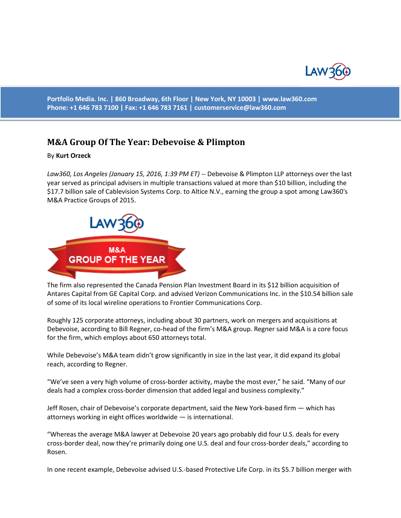

**Portfolio Media. Inc. | 860 Broadway, 6th Floor | New York, NY 10003 | www.law360.com Phone: +1 646 783 7100 | Fax: +1 646 783 7161 | [customerservice@law360.com](mailto:customerservice@law360.com)**

## **M&A Group Of The Year: Debevoise & Plimpton**

By **Kurt Orzeck**

*Law360, Los Angeles (January 15, 2016, 1:39 PM ET)* -- Debevoise & Plimpton LLP attorneys over the last year served as principal advisers in multiple transactions valued at more than \$10 billion, including the \$17.7 billion sale of Cablevision Systems Corp. to Altice N.V., earning the group a spot among Law360's M&A Practice Groups of 2015.



The firm also represented the Canada Pension Plan Investment Board in its \$12 billion acquisition of Antares Capital from GE Capital Corp. and advised Verizon Communications Inc. in the \$10.54 billion sale of some of its local wireline operations to Frontier Communications Corp.

Roughly 125 corporate attorneys, including about 30 partners, work on mergers and acquisitions at Debevoise, according to Bill Regner, co-head of the firm's M&A group. Regner said M&A is a core focus for the firm, which employs about 650 attorneys total.

While Debevoise's M&A team didn't grow significantly in size in the last year, it did expand its global reach, according to Regner.

"We've seen a very high volume of cross-border activity, maybe the most ever," he said. "Many of our deals had a complex cross-border dimension that added legal and business complexity."

Jeff Rosen, chair of Debevoise's corporate department, said the New York-based firm — which has attorneys working in eight offices worldwide — is international.

"Whereas the average M&A lawyer at Debevoise 20 years ago probably did four U.S. deals for every cross-border deal, now they're primarily doing one U.S. deal and four cross-border deals," according to Rosen.

In one recent example, Debevoise advised U.S.-based Protective Life Corp. in its \$5.7 billion merger with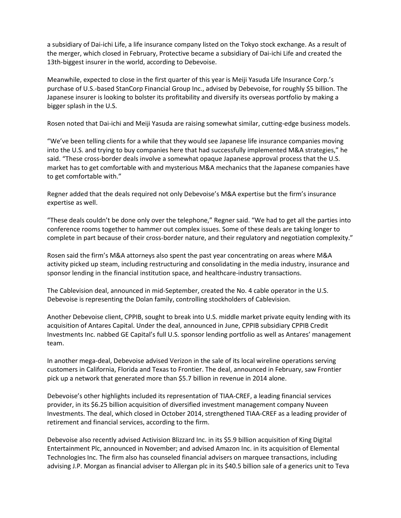a subsidiary of Dai-ichi Life, a life insurance company listed on the Tokyo stock exchange. As a result of the merger, which closed in February, Protective became a subsidiary of Dai-ichi Life and created the 13th-biggest insurer in the world, according to Debevoise.

Meanwhile, expected to close in the first quarter of this year is Meiji Yasuda Life Insurance Corp.'s purchase of U.S.-based StanCorp Financial Group Inc., advised by Debevoise, for roughly \$5 billion. The Japanese insurer is looking to bolster its profitability and diversify its overseas portfolio by making a bigger splash in the U.S.

Rosen noted that Dai-ichi and Meiji Yasuda are raising somewhat similar, cutting-edge business models.

"We've been telling clients for a while that they would see Japanese life insurance companies moving into the U.S. and trying to buy companies here that had successfully implemented M&A strategies," he said. "These cross-border deals involve a somewhat opaque Japanese approval process that the U.S. market has to get comfortable with and mysterious M&A mechanics that the Japanese companies have to get comfortable with."

Regner added that the deals required not only Debevoise's M&A expertise but the firm's insurance expertise as well.

"These deals couldn't be done only over the telephone," Regner said. "We had to get all the parties into conference rooms together to hammer out complex issues. Some of these deals are taking longer to complete in part because of their cross-border nature, and their regulatory and negotiation complexity."

Rosen said the firm's M&A attorneys also spent the past year concentrating on areas where M&A activity picked up steam, including restructuring and consolidating in the media industry, insurance and sponsor lending in the financial institution space, and healthcare-industry transactions.

The Cablevision deal, announced in mid-September, created the No. 4 cable operator in the U.S. Debevoise is representing the Dolan family, controlling stockholders of Cablevision.

Another Debevoise client, CPPIB, sought to break into U.S. middle market private equity lending with its acquisition of Antares Capital. Under the deal, announced in June, CPPIB subsidiary CPPIB Credit Investments Inc. nabbed GE Capital's full U.S. sponsor lending portfolio as well as Antares' management team.

In another mega-deal, Debevoise advised Verizon in the sale of its local wireline operations serving customers in California, Florida and Texas to Frontier. The deal, announced in February, saw Frontier pick up a network that generated more than \$5.7 billion in revenue in 2014 alone.

Debevoise's other highlights included its representation of TIAA-CREF, a leading financial services provider, in its \$6.25 billion acquisition of diversified investment management company Nuveen Investments. The deal, which closed in October 2014, strengthened TIAA-CREF as a leading provider of retirement and financial services, according to the firm.

Debevoise also recently advised Activision Blizzard Inc. in its \$5.9 billion acquisition of King Digital Entertainment Plc, announced in November; and advised Amazon Inc. in its acquisition of Elemental Technologies Inc. The firm also has counseled financial advisers on marquee transactions, including advising J.P. Morgan as financial adviser to Allergan plc in its \$40.5 billion sale of a generics unit to Teva